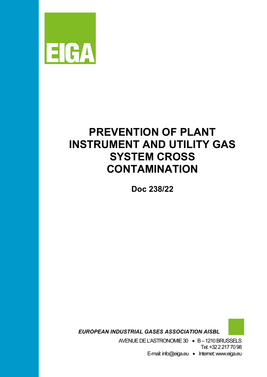

# **PREVENTION OF PLANT INSTRUMENT AND UTILITY GAS SYSTEM CROSS CONTAMINATION**

**Doc 238/22**

 *EUROPEAN INDUSTRIAL GASES ASSOCIATION AISBL*

AVENUE DEL'ASTRONOMIE 30 • B –1210 BRUSSELS Tel: +32 2 217 70 98

E-mail: info@eiga.eu • Internet:www.eiga.eu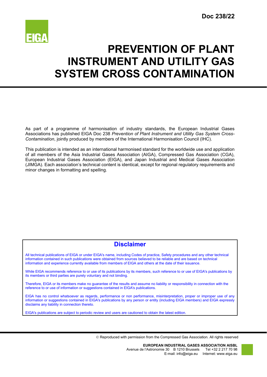

# **PREVENTION OF PLANT INSTRUMENT AND UTILITY GAS SYSTEM CROSS CONTAMINATION**

As part of a programme of harmonisation of industry standards, the European Industrial Gases Associations has published EIGA Doc 238 *Prevention of Plant Instrument and Utility Gas System Cross-Contamination*, jointly produced by members of the International Harmonisation Council (IHC).

This publication is intended as an international harmonised standard for the worldwide use and application of all members of the Asia Industrial Gases Association (AIGA), Compressed Gas Association (CGA), European Industrial Gases Association (EIGA), and Japan Industrial and Medical Gases Association (JIMGA). Each association's technical content is identical, except for regional regulatory requirements and minor changes in formatting and spelling.

# **Disclaimer**

All technical publications of EIGA or under EIGA's name, including Codes of practice, Safety procedures and any other technical information contained in such publications were obtained from sources believed to be reliable and are based on technical information and experience currently available from members of EIGA and others at the date of their issuance.

While EIGA recommends reference to or use of its publications by its members, such reference to or use of EIGA's publications by its members or third parties are purely voluntary and not binding.

Therefore, EIGA or its members make no guarantee of the results and assume no liability or responsibility in connection with the reference to or use of information or suggestions contained in EIGA's publications.

EIGA has no control whatsoever as regards, performance or non performance, misinterpretation, proper or improper use of any information or suggestions contained in EIGA's publications by any person or entity (including EIGA members) and EIGA expressly disclaims any liability in connection thereto.

EIGA's publications are subject to periodic review and users are cautioned to obtain the latest edition.

Reproduced with permission from the Compressed Gas Association. All rights reserved

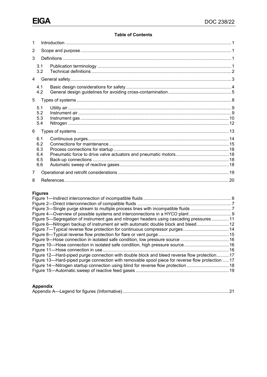# **Table of Contents**

| 1              |                                        |  |  |  |  |
|----------------|----------------------------------------|--|--|--|--|
| 2              |                                        |  |  |  |  |
| 3              |                                        |  |  |  |  |
|                | 3.1<br>3.2                             |  |  |  |  |
| $\overline{4}$ |                                        |  |  |  |  |
|                | 4.1<br>4.2                             |  |  |  |  |
| 5              |                                        |  |  |  |  |
|                | 5.1<br>5.2<br>5.3<br>5.4               |  |  |  |  |
| 6              |                                        |  |  |  |  |
|                | 6.1<br>6.2<br>6.3<br>6.4<br>6.5<br>6.6 |  |  |  |  |
| 7              |                                        |  |  |  |  |
| 8              |                                        |  |  |  |  |

# **Figures**

| Figure 4—Overview of possible systems and interconnections in a HYCO plant                       |  |
|--------------------------------------------------------------------------------------------------|--|
| Figure 5—Segregation of instrument gas and nitrogen headers using cascading pressures 11         |  |
| Figure 6—Nitrogen backup of instrument air with automatic double block and bleed 12              |  |
| Figure 7—Typical reverse flow protection for continuous compressor purges 14                     |  |
|                                                                                                  |  |
|                                                                                                  |  |
| Figure 10—Hose connection in isolated safe condition, high pressure source 16                    |  |
|                                                                                                  |  |
| Figure 12—Hard-piped purge connection with double block and bleed reverse flow protection 17     |  |
| Figure 13—Hard-piped purge connection with removable spool piece for reverse flow protection  17 |  |
| Figure 14—Nitrogen startup connection using blind for reverse flow protection 18                 |  |
|                                                                                                  |  |
|                                                                                                  |  |

# **Appendix**

|--|--|--|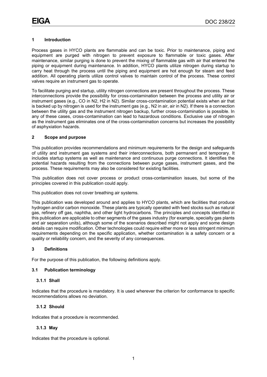# <span id="page-3-0"></span>**1 Introduction**

Process gases in HYCO plants are flammable and can be toxic. Prior to maintenance, piping and equipment are purged with nitrogen to prevent exposure to flammable or toxic gases. After maintenance, similar purging is done to prevent the mixing of flammable gas with air that entered the piping or equipment during maintenance. In addition, HYCO plants utilize nitrogen during startup to carry heat through the process until the piping and equipment are hot enough for steam and feed addition. All operating plants utilize control valves to maintain control of the process. These control valves require an instrument gas to operate.

To facilitate purging and startup, utility nitrogen connections are present throughout the process. These interconnections provide the possibility for cross-contamination between the process and utility air or instrument gases (e.g., CO in N2, H2 in N2). Similar cross-contamination potential exists when air that is backed up by nitrogen is used for the instrument gas (e.g., N2 in air, air in N2). If there is a connection between the utility gas and the instrument nitrogen backup, further cross-contamination is possible. In any of these cases, cross-contamination can lead to hazardous conditions. Exclusive use of nitrogen as the instrument gas eliminates one of the cross-contamination concerns but increases the possibility of asphyxiation hazards.

# <span id="page-3-1"></span>**2 Scope and purpose**

This publication provides recommendations and minimum requirements for the design and safeguards of utility and instrument gas systems and their interconnections, both permanent and temporary. It includes startup systems as well as maintenance and continuous purge connections. It identifies the potential hazards resulting from the connections between purge gases, instrument gases, and the process. These requirements may also be considered for existing facilities.

This publication does not cover process or product cross-contamination issues, but some of the principles covered in this publication could apply.

This publication does not cover breathing air systems.

This publication was developed around and applies to HYCO plants, which are facilities that produce hydrogen and/or carbon monoxide. These plants are typically operated with feed stocks such as natural gas, refinery off gas, naphtha, and other light hydrocarbons. The principles and concepts identified in this publication are applicable to other segments of the gases industry (for example, specialty gas plants and air separation units), although some of the scenarios described might not apply and some design details can require modification. Other technologies could require either more or less stringent minimum requirements depending on the specific application, whether contamination is a safety concern or a quality or reliability concern, and the severity of any consequences.

#### <span id="page-3-2"></span>**3 Definitions**

For the purpose of this publication, the following definitions apply.

#### <span id="page-3-3"></span>**3.1 Publication terminology**

#### **3.1.1 Shall**

Indicates that the procedure is mandatory. It is used wherever the criterion for conformance to specific recommendations allows no deviation.

# **3.1.2 Should**

Indicates that a procedure is recommended.

# **3.1.3 May**

Indicates that the procedure is optional.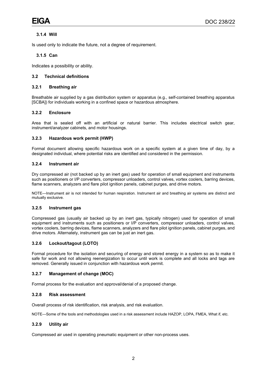# **3.1.4 Will**

Is used only to indicate the future, not a degree of requirement.

# **3.1.5 Can**

Indicates a possibility or ability.

#### <span id="page-4-0"></span>**3.2 Technical definitions**

#### **3.2.1 Breathing air**

Breathable air supplied by a gas distribution system or apparatus (e.g., self-contained breathing apparatus [SCBA]) for individuals working in a confined space or hazardous atmosphere.

# **3.2.2 Enclosure**

Area that is sealed off with an artificial or natural barrier. This includes electrical switch gear, instrument/analyzer cabinets, and motor housings.

#### **3.2.3 Hazardous work permit (HWP)**

Formal document allowing specific hazardous work on a specific system at a given time of day, by a designated individual, where potential risks are identified and considered in the permission.

#### **3.2.4 Instrument air**

Dry compressed air (not backed up by an inert gas) used for operation of small equipment and instruments such as positioners or I/P converters, compressor unloaders, control valves, vortex coolers, barring devices, flame scanners, analyzers and flare pilot ignition panels, cabinet purges, and drive motors.

NOTE—Instrument air is not intended for human respiration. Instrument air and breathing air systems are distinct and mutually exclusive.

#### **3.2.5 Instrument gas**

Compressed gas (usually air backed up by an inert gas, typically nitrogen) used for operation of small equipment and instruments such as positioners or I/P converters, compressor unloaders, control valves, vortex coolers, barring devices, flame scanners, analyzers and flare pilot ignition panels, cabinet purges, and drive motors. Alternately, instrument gas can be just an inert gas.

# **3.2.6 Lockout/tagout (LOTO)**

Formal procedure for the isolation and securing of energy and stored energy in a system so as to make it safe for work and not allowing reenergization to occur until work is complete and all locks and tags are removed. Generally issued in conjunction with hazardous work permit.

#### **3.2.7 Management of change (MOC)**

Formal process for the evaluation and approval/denial of a proposed change.

#### **3.2.8 Risk assessment**

Overall process of [risk](https://www.iso.org/obp/ui/#iso:std:iso:guide:73:ed-1:v1:en:term:3.5.1) identification, [risk](https://www.iso.org/obp/ui/#iso:std:iso:guide:73:ed-1:v1:en:term:3.6.1) analysis, and [risk](https://www.iso.org/obp/ui/#iso:std:iso:guide:73:ed-1:v1:en:term:3.7.1) evaluation.

NOTE—Some of the tools and methodologies used in a risk assessment include HAZOP, LOPA, FMEA, What if, etc.

# **3.2.9 Utility air**

Compressed air used in operating pneumatic equipment or other non-process uses.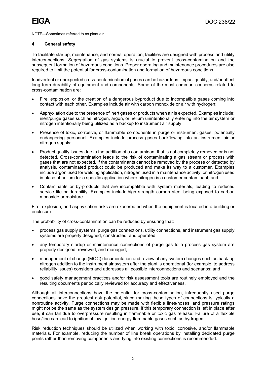<span id="page-5-0"></span>NOTE—Sometimes referred to as plant air.

#### **4 General safety**

To facilitate startup, maintenance, and normal operation, facilities are designed with process and utility interconnections. Segregation of gas systems is crucial to prevent cross-contamination and the subsequent formation of hazardous conditions. Proper operating and maintenance procedures are also required to limit the potential for cross-contamination and formation of hazardous conditions.

Inadvertent or unexpected cross-contamination of gases can be hazardous, impact quality, and/or affect long term durability of equipment and components. Some of the most common concerns related to cross-contamination are:

- Fire, explosion, or the creation of a dangerous byproduct due to incompatible gases coming into contact with each other. Examples include air with carbon monoxide or air with hydrogen;
- Asphyxiation due to the presence of inert gases or products when air is expected. Examples include: inert/purge gases such as nitrogen, argon, or helium unintentionally entering into the air system or nitrogen intentionally being utilized as a backup to instrument air supply;
- Presence of toxic, corrosive, or flammable components in purge or instrument gases, potentially endangering personnel. Examples include process gases backflowing into an instrument air or nitrogen supply;
- Product quality issues due to the addition of a contaminant that is not completely removed or is not detected. Cross-contamination leads to the risk of contaminating a gas stream or process with gases that are not expected. If the contaminants cannot be removed by the process or detected by analysis, contaminated product could be produced and make its way to a customer. Examples include argon used for welding application, nitrogen used in a maintenance activity, or nitrogen used in place of helium for a specific application where nitrogen is a customer contaminant; and
- Contaminants or by-products that are incompatible with system materials, leading to reduced service life or durability. Examples include high strength carbon steel being exposed to carbon monoxide or moisture.

Fire, explosion, and asphyxiation risks are exacerbated when the equipment is located in a building or enclosure.

The probability of cross-contamination can be reduced by ensuring that:

- process gas supply systems, purge gas connections, utility connections, and instrument gas supply systems are properly designed, constructed, and operated;
- any temporary startup or maintenance connections of purge gas to a process gas system are properly designed, reviewed, and managed;
- management of change (MOC) documentation and review of any system changes such as back-up nitrogen addition to the instrument air system after the plant is operational (for example, to address reliability issues) considers and addresses all possible interconnections and scenarios; and
- good safety management practices and/or risk assessment tools are routinely employed and the resulting documents periodically reviewed for accuracy and effectiveness.

Although all interconnections have the potential for cross-contamination, infrequently used purge connections have the greatest risk potential, since making these types of connections is typically a nonroutine activity. Purge connections may be made with flexible lines/hoses, and pressure ratings might not be the same as the system design pressure. If this temporary connection is left in place after use, it can fail due to overpressure resulting in flammable or toxic gas release. Failure of a flexible hose/line can lead to ignition of low ignition energy flammable gases such as hydrogen.

Risk reduction techniques should be utilized when working with toxic, corrosive, and/or flammable materials. For example, reducing the number of line break operations by installing dedicated purge points rather than removing components and tying into existing connections is recommended.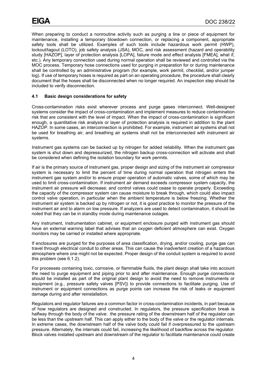When preparing to conduct a nonroutine activity such as purging a line or piece of equipment for maintenance, installing a temporary blowdown connection, or replacing a component, appropriate safety tools shall be utilized. Examples of such tools include hazardous work permit (HWP), lockout/tagout (LOTO), job safety analysis (JSA), MOC, and risk assessment (hazard and operability study [HAZOP], layer of protection analysis [LOPA], failure mode and effect analysis [FMEA], what if, etc.). Any temporary connection used during normal operation shall be reviewed and controlled via the MOC process. Temporary hose connections used for purging in preparation for or during maintenance shall be controlled by an administrative program (for example, work permit, checklist, and/or jumper log). If use of temporary hoses is required as part on an operating procedure, the procedure shall clearly document that the hoses shall be disconnected when no longer required. An inspection step should be included to verify disconnection.

# <span id="page-6-0"></span>**4.1 Basic design considerations for safety**

Cross-contamination risks exist wherever process and purge gases interconnect. Well-designed systems consider the impact of cross-contamination and implement measures to reduce contamination risk that are consistent with the level of impact. When the impact of cross-contamination is significant enough, a quantitative risk analysis or layer of protection analysis is required in addition to the plant HAZOP. In some cases, an interconnection is prohibited. For example, instrument air systems shall not be used for breathing air; and breathing air systems shall not be interconnected with instrument air systems.

Instrument gas systems can be backed up by nitrogen for added reliability. When the instrument gas system is shut down and depressurized, the nitrogen backup cross-connection will activate and shall be considered when defining the isolation boundary for work permits.

If air is the primary source of instrument gas, proper design and sizing of the instrument air compressor system is necessary to limit the percent of time during normal operation that nitrogen enters the instrument gas system and/or to ensure proper operation of automatic valves, some of which may be used to limit cross-contamination. If instrument air demand exceeds compressor system capacity, the instrument air pressure will decrease; and control valves could cease to operate properly. Exceeding the capacity of the compressor system can cause moisture to break through, which could also impact control valve operation, in particular when the ambient temperature is below freezing. Whether the instrument air system is backed up by nitrogen or not, it is good practice to monitor the pressure of the instrument air and to alarm on low pressure. If analyzers are used to detect contamination, it should be noted that they can be in standby mode during maintenance outages.

Any instrument, instrumentation cabinet, or equipment enclosure purged with instrument gas should have an external warning label that advises that an oxygen deficient atmosphere can exist. Oxygen monitors may be carried or installed where appropriate.

If enclosures are purged for the purposes of area classification, drying, and/or cooling, purge gas can travel through electrical conduit to other areas. This can cause the inadvertent creation of a hazardous atmosphere where one might not be expected. Proper design of the conduit system is required to avoid this problem (see 6.1.2).

For processes containing toxic, corrosive, or flammable fluids, the plant design shall take into account the need to purge equipment and piping prior to and after maintenance. Enough purge connections should be installed as part of the original plant design to avoid the need to remove instruments or equipment (e.g., pressure safety valves [PSV]) to provide connections to facilitate purging. Use of instrument or equipment connections as purge points can increase the risk of leaks or equipment damage during and after reinstallation.

Regulators and regulator failures are a common factor in cross-contamination incidents, in part because of how regulators are designed and constructed. In regulators, the pressure specification break is halfway through the body of the valve: the pressure rating of the downstream half of the regulator can be less than the upstream half. This can apply either to the body of the valve or the regulator internals. In extreme cases, the downstream half of the valve body could fail if overpressured to the upstream pressure. Alternately, the internals could fail, increasing the likelihood of backflow across the regulator. Block valves installed upstream and downstream of the regulator to facilitate maintenance could create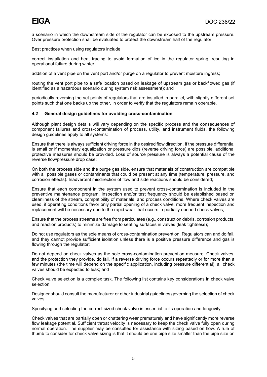a scenario in which the downstream side of the regulator can be exposed to the upstream pressure. Over pressure protection shall be evaluated to protect the downstream half of the regulator.

Best practices when using regulators include:

correct installation and heat tracing to avoid formation of ice in the regulator spring, resulting in operational failure during winter;

addition of a vent pipe on the vent port and/or purge on a regulator to prevent moisture ingress;

routing the vent port pipe to a safe location based on leakage of upstream gas or backflowed gas (if identified as a hazardous scenario during system risk assessment); and

periodically reversing the set points of regulators that are installed in parallel, with slightly different set points such that one backs up the other, in order to verify that the regulators remain operable.

# <span id="page-7-0"></span>**4.2 General design guidelines for avoiding cross-contamination**

Although plant design details will vary depending on the specific process and the consequences of component failures and cross-contamination of process, utility, and instrument fluids, the following design guidelines apply to all systems:

Ensure that there is always sufficient driving force in the desired flow direction. If the pressure differential is small or if momentary equalization or pressure dips (reverse driving force) are possible, additional protective measures should be provided. Loss of source pressure is always a potential cause of the reverse flow/pressure drop case;

On both the process side and the purge gas side, ensure that materials of construction are compatible with all possible gases or contaminants that could be present at any time (temperature, pressure, and corrosion effects). Inadvertent misdirection of flow and side reactions should be considered;

Ensure that each component in the system used to prevent cross-contamination is included in the preventive maintenance program. Inspection and/or test frequency should be established based on cleanliness of the stream, compatibility of materials, and process conditions. Where check valves are used, if operating conditions favor only partial opening of a check valve, more frequent inspection and replacement will be necessary due to the rapid wear that occurs in partially opened check valves;

Ensure that the process streams are free from particulates (e.g., construction debris, corrosion products, and reaction products) to minimize damage to seating surfaces in valves (leak tightness);

Do not use regulators as the sole means of cross-contamination prevention. Regulators can and do fail, and they cannot provide sufficient isolation unless there is a positive pressure difference and gas is flowing through the regulator;

Do not depend on check valves as the sole cross-contamination prevention measure. Check valves, and the protection they provide, do fail. If a reverse driving force occurs repeatedly or for more than a few minutes (the time will depend on the specific application, including pressure differential), all check valves should be expected to leak; and

Check valve selection is a complex task. The following list contains key considerations in check valve selection:

Designer should consult the manufacturer or other industrial guidelines governing the selection of check valves

Specifying and selecting the correct sized check valve is essential to its operation and longevity:

Check valves that are partially open or chattering wear prematurely and have significantly more reverse flow leakage potential. Sufficient throat velocity is necessary to keep the check valve fully open during normal operation. The supplier may be consulted for assistance with sizing based on flow. A rule of thumb to consider for check valve sizing is that it should be one pipe size smaller than the pipe size on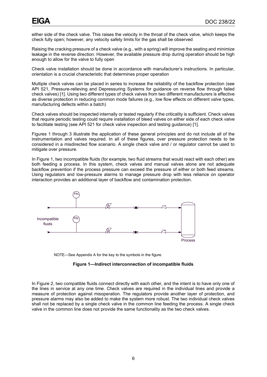either side of the check valve. This raises the velocity in the throat of the check valve, which keeps the check fully open; however, any velocity safety limits for the gas shall be observed

Raising the cracking pressure of a check valve (e.g., with a spring) will improve the seating and minimize leakage in the reverse direction. However, the available pressure drop during operation should be high enough to allow for the valve to fully open

Check valve installation should be done in accordance with manufacturer's instructions. In particular, orientation is a crucial characteristic that determines proper operation

Multiple check valves can be placed in series to increase the reliability of the backflow protection (see API 521, Pressure-relieving and Depressuring Systems for guidance on reverse flow through failed check valves) [1]. Using two different types of check valves from two different manufacturers is effective as diverse protection in reducing common mode failures (e.g., low flow effects on different valve types, manufacturing defects within a batch)

Check valves should be inspected internally or tested regularly if the criticality is sufficient. Check valves that require periodic testing could require installation of bleed valves on either side of each check valve to facilitate testing (see API 521 for check valve inspection and testing guidance) [1].

Figures 1 through 3 illustrate the application of these general principles and do not include all of the instrumentation and valves required. In all of these figures, over pressure protection needs to be considered in a misdirected flow scenario. A single check valve and / or regulator cannot be used to mitigate over pressure.

In Figure 1, two incompatible fluids (for example, two fluid streams that would react with each other) are both feeding a process. In this system, check valves and manual valves alone are not adequate backflow prevention if the process pressure can exceed the pressure of either or both feed streams. Using regulators and low-pressure alarms to manage pressure drop with less reliance on operator interaction provides an additional layer of backflow and contamination protection.



<span id="page-8-0"></span>NOTE—See Appendix A for the key to the symbols in the figure.

#### **Figure 1—Indirect interconnection of incompatible fluids**

In Figure 2, two compatible fluids connect directly with each other, and the intent is to have only one of the lines in service at any one time. Check valves are required in the individual lines and provide a measure of protection against misoperation. The regulators provide another layer of protection, and pressure alarms may also be added to make the system more robust. The two individual check valves shall not be replaced by a single check valve in the common line feeding the process. A single check valve in the common line does not provide the same functionality as the two check valves.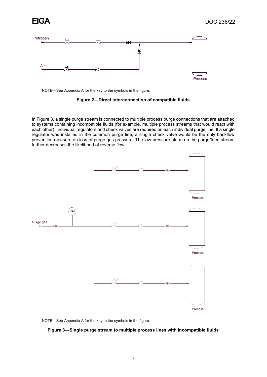



<span id="page-9-0"></span>NOTE—See Appendix A for the key to the symbols in the figure.

# **Figure 2—Direct interconnection of compatible fluids**

In Figure 3, a single purge stream is connected to multiple process purge connections that are attached to systems containing incompatible fluids (for example, multiple process streams that would react with each other). Individual regulators and check valves are required on each individual purge line. If a single regulator was installed in the common purge line, a single check valve would be the only backflow prevention measure on loss of purge gas pressure. The low-pressure alarm on the purge/feed stream further decreases the likelihood of reverse flow.



<span id="page-9-1"></span>NOTE—See Appendix A for the key to the symbols in the figure.

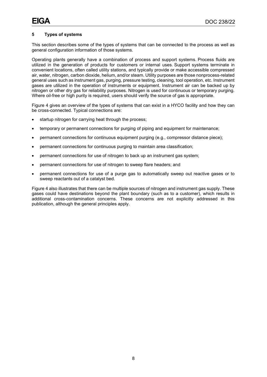# <span id="page-10-0"></span>**5 Types of systems**

This section describes some of the types of systems that can be connected to the process as well as general configuration information of those systems.

Operating plants generally have a combination of process and support systems. Process fluids are utilized in the generation of products for customers or internal uses. Support systems terminate in convenient locations, often called utility stations, and typically provide or make accessible compressed air, water, nitrogen, carbon dioxide, helium, and/or steam. Utility purposes are those nonprocess-related general uses such as instrument gas, purging, pressure testing, cleaning, tool operation, etc. Instrument gases are utilized in the operation of instruments or equipment. Instrument air can be backed up by nitrogen or other dry gas for reliability purposes. Nitrogen is used for continuous or temporary purging. Where oil-free or high purity is required, users should verify the source of gas is appropriate.

Figure 4 gives an overview of the types of systems that can exist in a HYCO facility and how they can be cross-connected. Typical connections are:

- startup nitrogen for carrying heat through the process;
- temporary or permanent connections for purging of piping and equipment for maintenance;
- permanent connections for continuous equipment purging (e.g., compressor distance piece);
- permanent connections for continuous purging to maintain area classification;
- permanent connections for use of nitrogen to back up an instrument gas system;
- permanent connections for use of nitrogen to sweep flare headers; and
- permanent connections for use of a purge gas to automatically sweep out reactive gases or to sweep reactants out of a catalyst bed.

Figure 4 also illustrates that there can be multiple sources of nitrogen and instrument gas supply. These gases could have destinations beyond the plant boundary (such as to a customer), which results in additional cross-contamination concerns. These concerns are not explicitly addressed in this publication, although the general principles apply.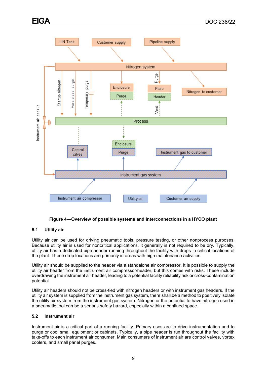

**Figure 4—Overview of possible systems and interconnections in a HYCO plant**

# <span id="page-11-2"></span><span id="page-11-0"></span>**5.1 Utility air**

Utility air can be used for driving pneumatic tools, pressure testing, or other nonprocess purposes. Because utility air is used for noncritical applications, it generally is not required to be dry. Typically, utility air has a dedicated pipe header running throughout the facility with drops in critical locations of the plant. These drop locations are primarily in areas with high maintenance activities.

Utility air should be supplied to the header via a standalone air compressor. It is possible to supply the utility air header from the instrument air compressor/header, but this comes with risks. These include overdrawing the instrument air header, leading to a potential facility reliability risk or cross-contamination potential.

Utility air headers should not be cross-tied with nitrogen headers or with instrument gas headers. If the utility air system is supplied from the instrument gas system, there shall be a method to positively isolate the utility air system from the instrument gas system. Nitrogen or the potential to have nitrogen used in a pneumatic tool can be a serious safety hazard, especially within a confined space.

# <span id="page-11-1"></span>**5.2 Instrument air**

Instrument air is a critical part of a running facility. Primary uses are to drive instrumentation and to purge or cool small equipment or cabinets. Typically, a pipe header is run throughout the facility with take-offs to each instrument air consumer. Main consumers of instrument air are control valves, vortex coolers, and small panel purges.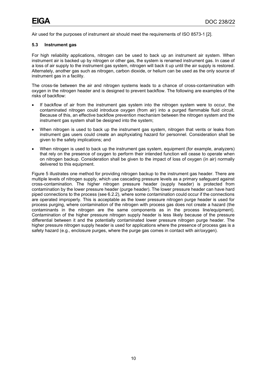<span id="page-12-0"></span>Air used for the purposes of instrument air should meet the requirements of ISO 8573-1 [2].

#### **5.3 Instrument gas**

For high reliability applications, nitrogen can be used to back up an instrument air system. When instrument air is backed up by nitrogen or other gas, the system is renamed instrument gas. In case of a loss of air supply to the instrument gas system, nitrogen will back it up until the air supply is restored. Alternately, another gas such as nitrogen, carbon dioxide, or helium can be used as the only source of instrument gas in a facility.

The cross-tie between the air and nitrogen systems leads to a chance of cross-contamination with oxygen in the nitrogen header and is designed to prevent backflow. The following are examples of the risks of backflow:

- If backflow of air from the instrument gas system into the nitrogen system were to occur, the contaminated nitrogen could introduce oxygen (from air) into a purged flammable fluid circuit. Because of this, an effective backflow prevention mechanism between the nitrogen system and the instrument gas system shall be designed into the system;
- When nitrogen is used to back up the instrument gas system, nitrogen that vents or leaks from instrument gas users could create an asphyxiating hazard for personnel. Consideration shall be given to the safety implications; and
- When nitrogen is used to back up the instrument gas system, equipment (for example, analyzers) that rely on the presence of oxygen to perform their intended function will cease to operate when on nitrogen backup. Consideration shall be given to the impact of loss of oxygen (in air) normally delivered to this equipment.

Figure 5 illustrates one method for providing nitrogen backup to the instrument gas header. There are multiple levels of nitrogen supply, which use cascading pressure levels as a primary safeguard against cross-contamination. The higher nitrogen pressure header (supply header) is protected from contamination by the lower pressure header (purge header). The lower pressure header can have hard piped connections to the process (see 6.2.2), where some contamination could occur if the connections are operated improperly. This is acceptable as the lower pressure nitrogen purge header is used for process purging, where contamination of the nitrogen with process gas does not create a hazard (the contaminants in the nitrogen are the same components as in the process line/equipment). Contamination of the higher pressure nitrogen supply header is less likely because of the pressure differential between it and the potentially contaminated lower pressure nitrogen purge header. The higher pressure nitrogen supply header is used for applications where the presence of process gas is a safety hazard (e.g., enclosure purges, where the purge gas comes in contact with air/oxygen).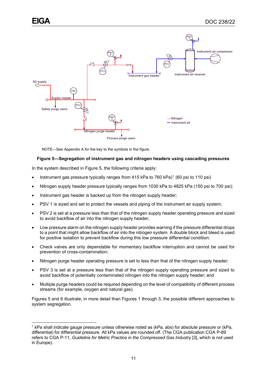

NOTE—See Appendix A for the key to the symbols in the figure.

# <span id="page-13-0"></span>**Figure 5—Segregation of instrument gas and nitrogen headers using cascading pressures**

In the system described in Figure 5, the following criteria apply:

- Instrument gas pressure typically ranges from 4[1](#page-13-1)5 kPa to 760 kPa)<sup>1</sup> (60 psi to 110 psi)
- Nitrogen supply header pressure typically ranges from 1030 kPa to 4825 kPa (150 psi to 700 psi);
- Instrument gas header is backed up from the nitrogen supply header;
- PSV 1 is sized and set to protect the vessels and piping of the instrument air supply system;
- PSV 2 is set at a pressure less than that of the nitrogen supply header operating pressure and sized to avoid backflow of air into the nitrogen supply header;
- Low pressure alarm on the nitrogen supply header provides warning if the pressure differential drops to a point that might allow backflow of air into the nitrogen system. A double block and bleed is used for positive isolation to prevent backflow during this low pressure differential condition;
- Check valves are only dependable for momentary backflow interruption and cannot be used for prevention of cross-contamination;
- Nitrogen purge header operating pressure is set to less than that of the nitrogen supply header;
- PSV 3 is set at a pressure less than that of the nitrogen supply operating pressure and sized to avoid backflow of potentially contaminated nitrogen into the nitrogen supply header; and
- Multiple purge headers could be required depending on the level of compatibility of different process streams (for example, oxygen and natural gas).

Figures 5 and 6 illustrate, in more detail than Figures 1 through 3, the possible different approaches to system segregation.

<span id="page-13-1"></span><sup>1</sup> kPa shall indicate gauge pressure unless otherwise noted as (kPa, abs) for absolute pressure or (kPa, differential) for differential pressure. All kPa values are rounded off. (The CGA publication CGA P-89 refers to CGA P-11, *Guideline for Metric Practice in the Compressed Gas Industry* [3], which is not used in Europe).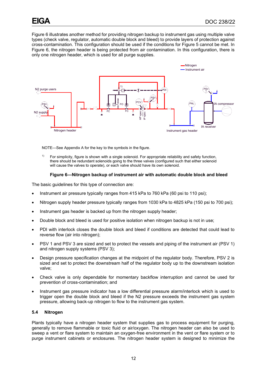Figure 6 illustrates another method for providing nitrogen backup to instrument gas using multiple valve types (check valve, regulator, automatic double block and bleed) to provide layers of protection against cross-contamination. This configuration should be used if the conditions for Figure 5 cannot be met. In Figure 6, the nitrogen header is being protected from air contamination. In this configuration, there is only one nitrogen header, which is used for all purge supplies.



NOTE—See Appendix A for the key to the symbols in the figure.

 $1)$  For simplicity, figure is shown with a single solenoid. For appropriate reliability and safety function, there should be redundant solenoids going to the three valves (configured such that either solenoid will cause the valves to operate), or each valve should have its own solenoid.

# **Figure 6—Nitrogen backup of instrument air with automatic double block and bleed**

<span id="page-14-1"></span>The basic guidelines for this type of connection are:

- Instrument air pressure typically ranges from 415 kPa to 760 kPa (60 psi to 110 psi);
- Nitrogen supply header pressure typically ranges from 1030 kPa to 4825 kPa (150 psi to 700 psi);
- Instrument gas header is backed up from the nitrogen supply header;
- Double block and bleed is used for positive isolation when nitrogen backup is not in use;
- PDI with interlock closes the double block and bleed if conditions are detected that could lead to reverse flow (air into nitrogen);
- PSV 1 and PSV 3 are sized and set to protect the vessels and piping of the instrument air (PSV 1) and nitrogen supply systems (PSV 3);
- Design pressure specification changes at the midpoint of the regulator body. Therefore, PSV 2 is sized and set to protect the downstream half of the regulator body up to the downstream isolation valve;
- Check valve is only dependable for momentary backflow interruption and cannot be used for prevention of cross-contamination; and
- Instrument gas pressure indicator has a low differential pressure alarm/interlock which is used to trigger open the double block and bleed if the N2 pressure exceeds the instrument gas system pressure, allowing back-up nitrogen to flow to the instrument gas system.

#### <span id="page-14-0"></span>**5.4 Nitrogen**

Plants typically have a nitrogen header system that supplies gas to process equipment for purging, generally to remove flammable or toxic fluid or air/oxygen. The nitrogen header can also be used to sweep a vent or flare system to maintain an oxygen-free environment in the vent or flare system or to purge instrument cabinets or enclosures. The nitrogen header system is designed to minimize the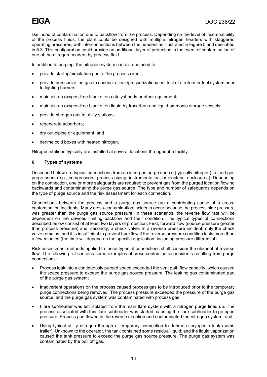likelihood of contamination due to backflow from the process. Depending on the level of incompatibility of the process fluids, the plant could be designed with multiple nitrogen headers with staggered operating pressures, with interconnections between the headers as illustrated in Figure 5 and described in 5.3. This configuration could provide an additional layer of protection in the event of contamination of one of the nitrogen headers by process fluid.

In addition to purging, the nitrogen system can also be used to:

- provide startup/circulation gas to the process circuit;
- provide pressurization gas to conduct a leak/pressurization/seal test of a reformer fuel system prior to lighting burners;
- maintain an oxygen-free blanket on catalyst beds or other equipment;
- maintain an oxygen-free blanket on liquid hydrocarbon and liquid ammonia storage vessels;
- provide nitrogen gas to utility stations;
- regenerate adsorbers;
- dry out piping or equipment; and
- derime cold boxes with heated nitrogen.

<span id="page-15-0"></span>Nitrogen stations typically are installed at several locations throughout a facility.

# **6 Types of systems**

Described below are typical connections from an inert gas purge source (typically nitrogen) to inert gas purge users (e.g., compressors, process piping, instrumentation, or electrical enclosures). Depending on the connection, one or more safeguards are required to prevent gas from the purged location flowing backwards and contaminating the purge gas source. The type and number of safeguards depends on the type of purge source and the risk assessment for each connection.

Connections between the process and a purge gas source are a contributing cause of a crosscontamination incidents. Many cross-contamination incidents occur because the process side pressure was greater than the purge gas source pressure. In these scenarios, the reverse flow rate will be dependent on the devices limiting backflow and their condition. The typical types of connections described below consist of at least two layers of protection. First, forward flow (source pressure greater than process pressure) and, secondly, a check valve. In a reverse pressure incident, only the check valve remains, and it is insufficient to prevent backflow if the reverse pressure condition lasts more than a few minutes (the time will depend on the specific application, including pressure differential).

Risk assessment methods applied to these types of connections shall consider the element of reverse flow. The following list contains some examples of cross-contamination incidents resulting from purge connections:

- Process leak into a continuously purged space exceeded the vent path flow capacity, which caused the space pressure to exceed the purge gas source pressure. The leaking gas contaminated part of the purge gas system;
- Inadvertent operations on the process caused process gas to be introduced prior to the temporary purge connections being removed. The process pressure exceeded the pressure of the purge gas source, and the purge gas system was contaminated with process gas;
- Flare subheader was left isolated from the main flare system with a nitrogen purge lined up. The process associated with this flare subheader was started, causing the flare subheader to go up in pressure. Process gas flowed in the reverse direction and contaminated the nitrogen system; and
- Using typical utility nitrogen through a temporary connection to derime a cryogenic tank (semitrailer). Unknown to the operator, the tank contained some residual liquid; and the liquid vaporization caused the tank pressure to exceed the purge gas source pressure. The purge gas system was contaminated by the boil off gas.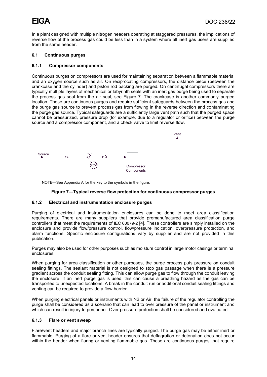In a plant designed with multiple nitrogen headers operating at staggered pressures, the implications of reverse flow of the process gas could be less than in a system where all inert gas users are supplied from the same header.

# <span id="page-16-0"></span>**6.1 Continuous purges**

# **6.1.1 Compressor components**

Continuous purges on compressors are used for maintaining separation between a flammable material and an oxygen source such as air. On reciprocating compressors, the distance piece (between the crankcase and the cylinder) and piston rod packing are purged. On centrifugal compressors there are typically multiple layers of mechanical or labyrinth seals with an inert gas purge being used to separate the process gas seal from the air seal, see Figure 7. The crankcase is another commonly purged location. These are continuous purges and require sufficient safeguards between the process gas and the purge gas source to prevent process gas from flowing in the reverse direction and contaminating the purge gas source. Typical safeguards are a sufficiently large vent path such that the purged space cannot be pressurized, pressure drop (for example, due to a regulator or orifice) between the purge source and a compressor component, and a check valve to limit reverse flow.



<span id="page-16-1"></span>NOTE—See Appendix A for the key to the symbols in the figure.

# **Figure 7—Typical reverse flow protection for continuous compressor purges**

# **6.1.2 Electrical and instrumentation enclosure purges**

Purging of electrical and instrumentation enclosures can be done to meet area classification requirements. There are many suppliers that provide premanufactured area classification purge controllers that meet the requirements of IEC 60079-2 [4]. These controllers are simply installed on the enclosure and provide flow/pressure control, flow/pressure indication, overpressure protection, and alarm functions. Specific enclosure configurations vary by supplier and are not provided in this publication.

Purges may also be used for other purposes such as moisture control in large motor casings or terminal enclosures.

When purging for area classification or other purposes, the purge process puts pressure on conduit sealing fittings. The sealant material is not designed to stop gas passage when there is a pressure gradient across the conduit sealing fitting. This can allow purge gas to flow through the conduit leaving the enclosure. If an inert purge gas is used, this can cause a breathing hazard as the gas can be transported to unexpected locations. A break in the conduit run or additional conduit sealing fittings and venting can be required to provide a flow barrier.

When purging electrical panels or instruments with N2 or Air, the failure of the regulator controlling the purge shall be considered as a scenario that can lead to over pressure of the panel or instrument and which can result in injury to personnel. Over pressure protection shall be considered and evaluated.

# **6.1.3 Flare or vent sweep**

Flare/vent headers and major branch lines are typically purged. The purge gas may be either inert or flammable. Purging of a flare or vent header ensures that deflagration or detonation does not occur within the header when flaring or venting flammable gas. These are continuous purges that require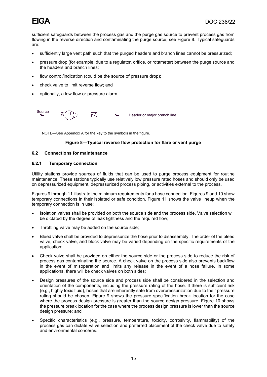sufficient safeguards between the process gas and the purge gas source to prevent process gas from flowing in the reverse direction and contaminating the purge source, see Figure 8. Typical safeguards are:

- sufficiently large vent path such that the purged headers and branch lines cannot be pressurized;
- pressure drop (for example, due to a regulator, orifice, or rotameter) between the purge source and the headers and branch lines;
- flow control/indication (could be the source of pressure drop);
- check valve to limit reverse flow; and
- optionally, a low flow or pressure alarm.



<span id="page-17-1"></span>NOTE—See Appendix A for the key to the symbols in the figure.

# **Figure 8—Typical reverse flow protection for flare or vent purge**

#### <span id="page-17-0"></span>**6.2 Connections for maintenance**

#### **6.2.1 Temporary connection**

Utility stations provide sources of fluids that can be used to purge process equipment for routine maintenance. These stations typically use relatively low pressure rated hoses and should only be used on depressurized equipment, depressurized process piping, or activities external to the process.

Figures 9 through 11 illustrate the minimum requirements for a hose connection. Figures 9 and 10 show temporary connections in their isolated or safe condition. Figure 11 shows the valve lineup when the temporary connection is in use:

- Isolation valves shall be provided on both the source side and the process side. Valve selection will be dictated by the degree of leak tightness and the required flow;
- Throttling valve may be added on the source side;
- Bleed valve shall be provided to depressurize the hose prior to disassembly. The order of the bleed valve, check valve, and block valve may be varied depending on the specific requirements of the application;
- Check valve shall be provided on either the source side or the process side to reduce the risk of process gas contaminating the source. A check valve on the process side also prevents backflow in the event of misoperation and limits any release in the event of a hose failure. In some applications, there will be check valves on both sides;
- Design pressures of the source side and process side shall be considered in the selection and orientation of the components, including the pressure rating of the hose. If there is sufficient risk (e.g., highly toxic fluid), hoses that are inherently safe from overpressurization due to their pressure rating should be chosen. Figure 9 shows the pressure specification break location for the case where the process design pressure is greater than the source design pressure. Figure 10 shows the pressure break location for the case where the process design pressure is lower than the source design pressure; and
- Specific characteristics (e.g., pressure, temperature, toxicity, corrosivity, flammability) of the process gas can dictate valve selection and preferred placement of the check valve due to safety and environmental concerns.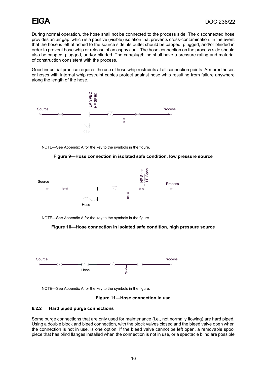During normal operation, the hose shall not be connected to the process side. The disconnected hose provides an air gap, which is a positive (visible) isolation that prevents cross-contamination. In the event that the hose is left attached to the source side, its outlet should be capped, plugged, and/or blinded in order to prevent hose whip or release of an asphyxiant. The hose connection on the process side should also be capped, plugged, and/or blinded. The cap/plug/blind shall have a pressure rating and material of construction consistent with the process.

Good industrial practice requires the use of hose whip restraints at all connection points. Armored hoses or hoses with internal whip restraint cables protect against hose whip resulting from failure anywhere along the length of the hose.



<span id="page-18-0"></span>NOTE—See Appendix A for the key to the symbols in the figure.

# **Figure 9—Hose connection in isolated safe condition, low pressure source**



<span id="page-18-1"></span>NOTE—See Appendix A for the key to the symbols in the figure.





<span id="page-18-2"></span>NOTE—See Appendix A for the key to the symbols in the figure.

#### **Figure 11—Hose connection in use**

# **6.2.2 Hard piped purge connections**

Some purge connections that are only used for maintenance (i.e., not normally flowing) are hard piped. Using a double block and bleed connection, with the block valves closed and the bleed valve open when the connection is not in use, is one option. If the bleed valve cannot be left open, a removable spool piece that has blind flanges installed when the connection is not in use, or a spectacle blind are possible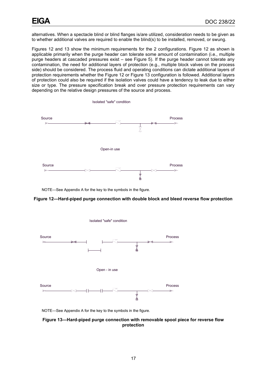alternatives. When a spectacle blind or blind flanges is/are utilized, consideration needs to be given as to whether additional valves are required to enable the blind(s) to be installed, removed, or swung.

Figures 12 and 13 show the minimum requirements for the 2 configurations. Figure 12 as shown is applicable primarily when the purge header can tolerate some amount of contamination (i.e., multiple purge headers at cascaded pressures exist – see Figure 5). If the purge header cannot tolerate any contamination, the need for additional layers of protection (e.g., multiple block valves on the process side) should be considered. The process fluid and operating conditions can dictate additional layers of protection requirements whether the Figure 12 or Figure 13 configuration is followed. Additional layers of protection could also be required if the isolation valves could have a tendency to leak due to either size or type. The pressure specification break and over pressure protection requirements can vary depending on the relative design pressures of the source and process.



NOTE—See Appendix A for the key to the symbols in the figure.

#### <span id="page-19-0"></span>**Figure 12—Hard-piped purge connection with double block and bleed reverse flow protection**



NOTE—See Appendix A for the key to the symbols in the figure.

<span id="page-19-1"></span>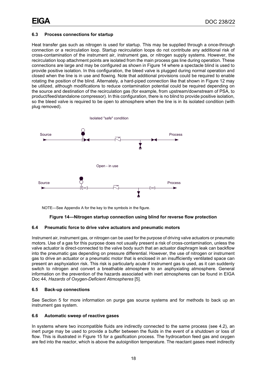# <span id="page-20-0"></span>**6.3 Process connections for startup**

Heat transfer gas such as nitrogen is used for startup. This may be supplied through a once-through connection or a recirculation loop. Startup recirculation loops do not contribute any additional risk of cross-contamination of the instrument air, instrument gas, or nitrogen supply systems. However, the recirculation loop attachment points are isolated from the main process gas line during operation. These connections are large and may be configured as shown in Figure 14 where a spectacle blind is used to provide positive isolation. In this configuration, the bleed valve is plugged during normal operation and closed when the line is in use and flowing. Note that additional provisions could be required to enable rotating the position of the blind. Alternately, a hard-piped connection like that shown in Figure 12 may be utilized, although modifications to reduce contamination potential could be required depending on the source and destination of the recirculation gas (for example, from upstream/downstream of PSA, to product/feed/standalone compressor). In this configuration, there is no blind to provide positive isolation, so the bleed valve is required to be open to atmosphere when the line is in its isolated condition (with plug removed).



<span id="page-20-4"></span>NOTE—See Appendix A for the key to the symbols in the figure.

# **Figure 14—Nitrogen startup connection using blind for reverse flow protection**

#### <span id="page-20-1"></span>**6.4 Pneumatic force to drive valve actuators and pneumatic motors**

Instrument air, instrument gas, or nitrogen can be used for the purpose of driving valve actuators or pneumatic motors. Use of a gas for this purpose does not usually present a risk of cross-contamination, unless the valve actuator is direct-connected to the valve body such that an actuator diaphragm leak can backflow into the pneumatic gas depending on pressure differential. However, the use of nitrogen or instrument gas to drive an actuator or a pneumatic motor that is enclosed in an insufficiently ventilated space can present an asphyxiation risk. This risk is particularly acute if instrument gas is used, as it can suddenly switch to nitrogen and convert a breathable atmosphere to an asphyxiating atmosphere. General information on the prevention of the hazards associated with inert atmospheres can be found in EIGA Doc 44, *Hazards of Oxygen-Deficient Atmospheres* [5].

# <span id="page-20-2"></span>**6.5 Back-up connections**

See Section 5 for more information on purge gas source systems and for methods to back up an instrument gas system.

#### <span id="page-20-3"></span>**6.6 Automatic sweep of reactive gases**

In systems where two incompatible fluids are indirectly connected to the same process (see 4.2), an inert purge may be used to provide a buffer between the fluids in the event of a shutdown or loss of flow. This is illustrated in Figure 15 for a gasification process. The hydrocarbon feed gas and oxygen are fed into the reactor, which is above the autoignition temperature. The reactant gases meet indirectly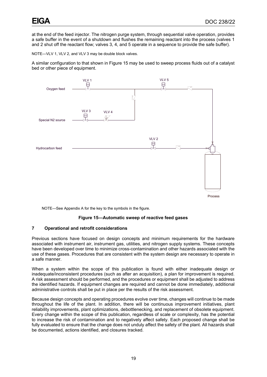at the end of the feed injector. The nitrogen purge system, through sequential valve operation, provides a safe buffer in the event of a shutdown and flushes the remaining reactant into the process (valves 1 and 2 shut off the reactant flow; valves 3, 4, and 5 operate in a sequence to provide the safe buffer).

NOTE—VLV 1, VLV 2, and VLV 3 may be double block valves.

A similar configuration to that shown in Figure 15 may be used to sweep process fluids out of a catalyst bed or other piece of equipment.



<span id="page-21-1"></span>NOTE—See Appendix A for the key to the symbols in the figure.

#### **Figure 15—Automatic sweep of reactive feed gases**

# <span id="page-21-0"></span>**7 Operational and retrofit considerations**

Previous sections have focused on design concepts and minimum requirements for the hardware associated with instrument air, instrument gas, utilities, and nitrogen supply systems. These concepts have been developed over time to minimize cross-contamination and other hazards associated with the use of these gases. Procedures that are consistent with the system design are necessary to operate in a safe manner.

When a system within the scope of this publication is found with either inadequate design or inadequate/inconsistent procedures (such as after an acquisition), a plan for improvement is required. A risk assessment should be performed, and the procedures or equipment shall be adjusted to address the identified hazards. If equipment changes are required and cannot be done immediately, additional administrative controls shall be put in place per the results of the risk assessment.

Because design concepts and operating procedures evolve over time, changes will continue to be made throughout the life of the plant. In addition, there will be continuous improvement initiatives, plant reliability improvements, plant optimizations, debottlenecking, and replacement of obsolete equipment. Every change within the scope of this publication, regardless of scale or complexity, has the potential to increase the risk of contamination and to negatively affect safety. Each proposed change shall be fully evaluated to ensure that the change does not unduly affect the safety of the plant. All hazards shall be documented, actions identified, and closures tracked.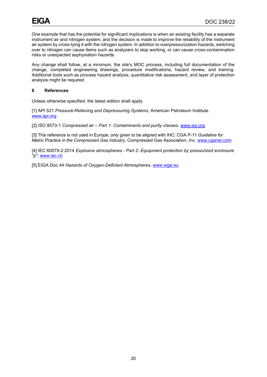One example that has the potential for significant implications is when an existing facility has a separate instrument air and nitrogen system, and the decision is made to improve the reliability of the instrument air system by cross-tying it with the nitrogen system. In addition to overpressurization hazards, switching over to nitrogen can cause items such as analyzers to stop working, or can cause cross-contamination risks or unexpected asphyxiation hazards.

Any change shall follow, at a minimum, the site's MOC process, including full documentation of the change, completed engineering drawings, procedure modifications, hazard review, and training. Additional tools such as process hazard analysis, quantitative risk assessment, and layer of protection analysis might be required.

# <span id="page-22-0"></span>**8 References**

Unless otherwise specified, the latest edition shall apply.

[1] API 521 *Pressure-Relieving and Depressuring Systems*, American Petroleum Institute. [www.api.org](http://www.api.org/)

[2] ISO 8573-1 *Compressed air – Part 1: Contaminants and purity classes*. [www.iso.org](http://www.iso.org/)

[3] This reference is not used in Europe, only given to be aligned with IHC: CGA P-11 *Guideline for Metric Practice in the Compressed Gas Industry,* Compressed Gas Association, Inc. [www.cganet.com](http://www.cganet.com/)

[4] IEC 60079-2:2014 *Explosive atmospheres - Part 2: Equipment protection by pressurized enclosure "p"*, [www.iec.ch](http://www.iec.ch/)

[5] EIGA Doc 44 *Hazards of Oxygen-Deficient Atmospheres,* [www.eiga.eu](http://www.eiga.eu/)